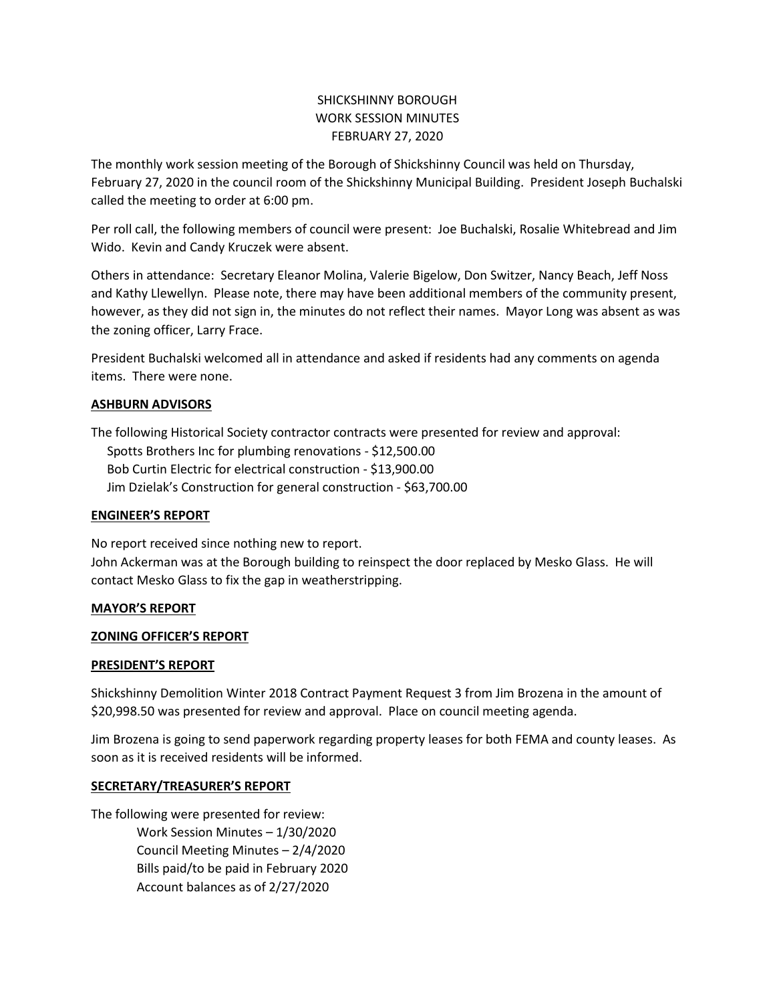# SHICKSHINNY BOROUGH WORK SESSION MINUTES FEBRUARY 27, 2020

The monthly work session meeting of the Borough of Shickshinny Council was held on Thursday, February 27, 2020 in the council room of the Shickshinny Municipal Building. President Joseph Buchalski called the meeting to order at 6:00 pm.

Per roll call, the following members of council were present: Joe Buchalski, Rosalie Whitebread and Jim Wido. Kevin and Candy Kruczek were absent.

Others in attendance: Secretary Eleanor Molina, Valerie Bigelow, Don Switzer, Nancy Beach, Jeff Noss and Kathy Llewellyn. Please note, there may have been additional members of the community present, however, as they did not sign in, the minutes do not reflect their names. Mayor Long was absent as was the zoning officer, Larry Frace.

President Buchalski welcomed all in attendance and asked if residents had any comments on agenda items. There were none.

### **ASHBURN ADVISORS**

The following Historical Society contractor contracts were presented for review and approval:

Spotts Brothers Inc for plumbing renovations - \$12,500.00

Bob Curtin Electric for electrical construction - \$13,900.00

Jim Dzielak's Construction for general construction - \$63,700.00

### **ENGINEER'S REPORT**

No report received since nothing new to report. John Ackerman was at the Borough building to reinspect the door replaced by Mesko Glass. He will contact Mesko Glass to fix the gap in weatherstripping.

### **MAYOR'S REPORT**

### **ZONING OFFICER'S REPORT**

### **PRESIDENT'S REPORT**

Shickshinny Demolition Winter 2018 Contract Payment Request 3 from Jim Brozena in the amount of \$20,998.50 was presented for review and approval. Place on council meeting agenda.

Jim Brozena is going to send paperwork regarding property leases for both FEMA and county leases. As soon as it is received residents will be informed.

### **SECRETARY/TREASURER'S REPORT**

The following were presented for review:

Work Session Minutes – 1/30/2020 Council Meeting Minutes – 2/4/2020 Bills paid/to be paid in February 2020 Account balances as of 2/27/2020